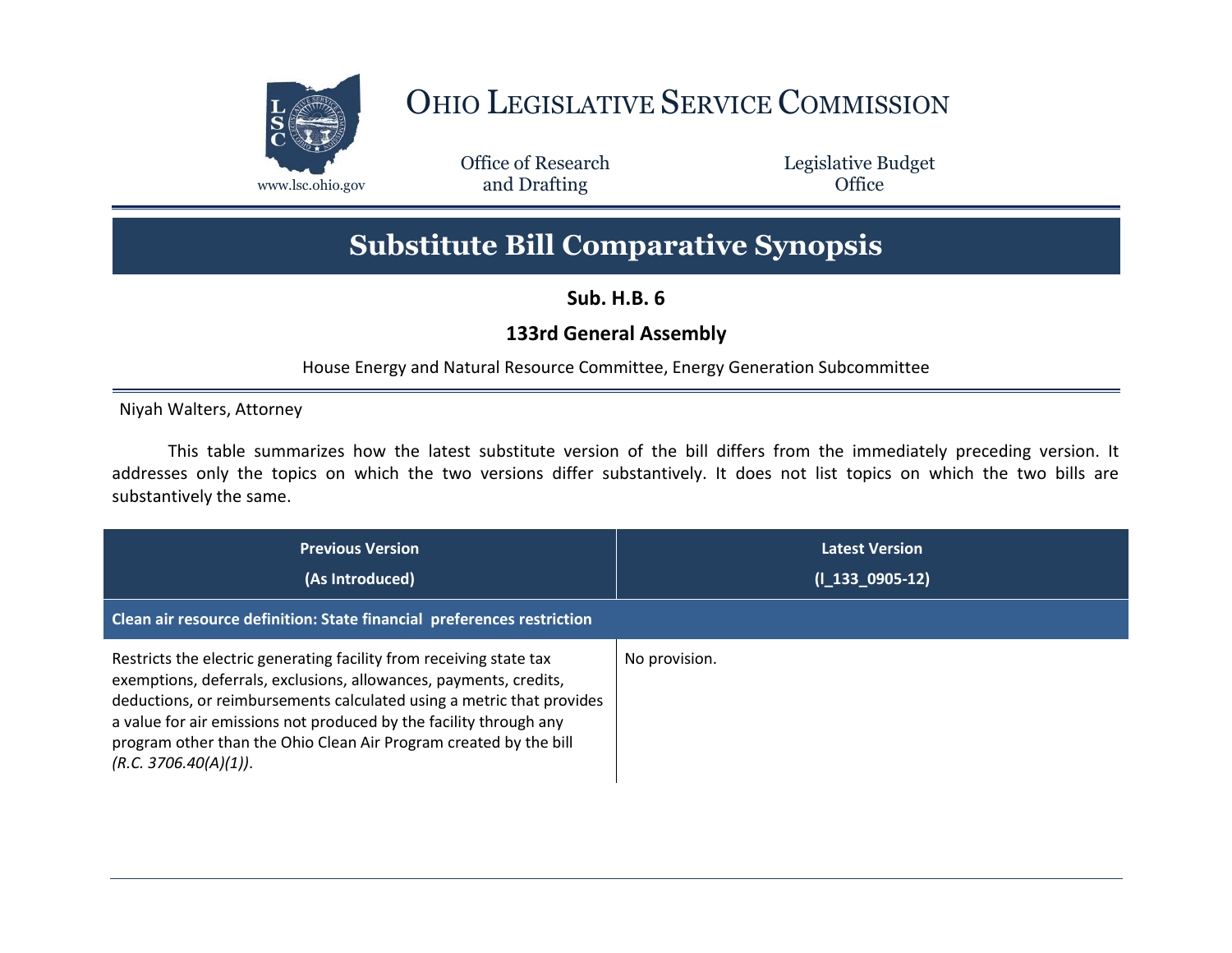

## OHIO LEGISLATIVE SERVICE COMMISSION

Office of Research www.lsc.ohio.gov and Drafting Control of Control of the Control of Control of the Control of Control of the Control of the Control of the Control of the Control of the Control of the Control of the Control of the Control o

Legislative Budget

## **Substitute Bill Comparative Synopsis**

**Sub. H.B. 6**

## **133rd General Assembly**

House Energy and Natural Resource Committee, Energy Generation Subcommittee

Niyah Walters, Attorney

This table summarizes how the latest substitute version of the bill differs from the immediately preceding version. It addresses only the topics on which the two versions differ substantively. It does not list topics on which the two bills are substantively the same.

| <b>Previous Version</b><br>(As Introduced)<br>Clean air resource definition: State financial preferences restriction                                                                                                                                                                                                                                                                  | <b>Latest Version</b><br>$(I_133_0905-12)$ |
|---------------------------------------------------------------------------------------------------------------------------------------------------------------------------------------------------------------------------------------------------------------------------------------------------------------------------------------------------------------------------------------|--------------------------------------------|
| Restricts the electric generating facility from receiving state tax<br>exemptions, deferrals, exclusions, allowances, payments, credits,<br>deductions, or reimbursements calculated using a metric that provides<br>a value for air emissions not produced by the facility through any<br>program other than the Ohio Clean Air Program created by the bill<br>(R.C. 3706.40(A)(1)). | No provision.                              |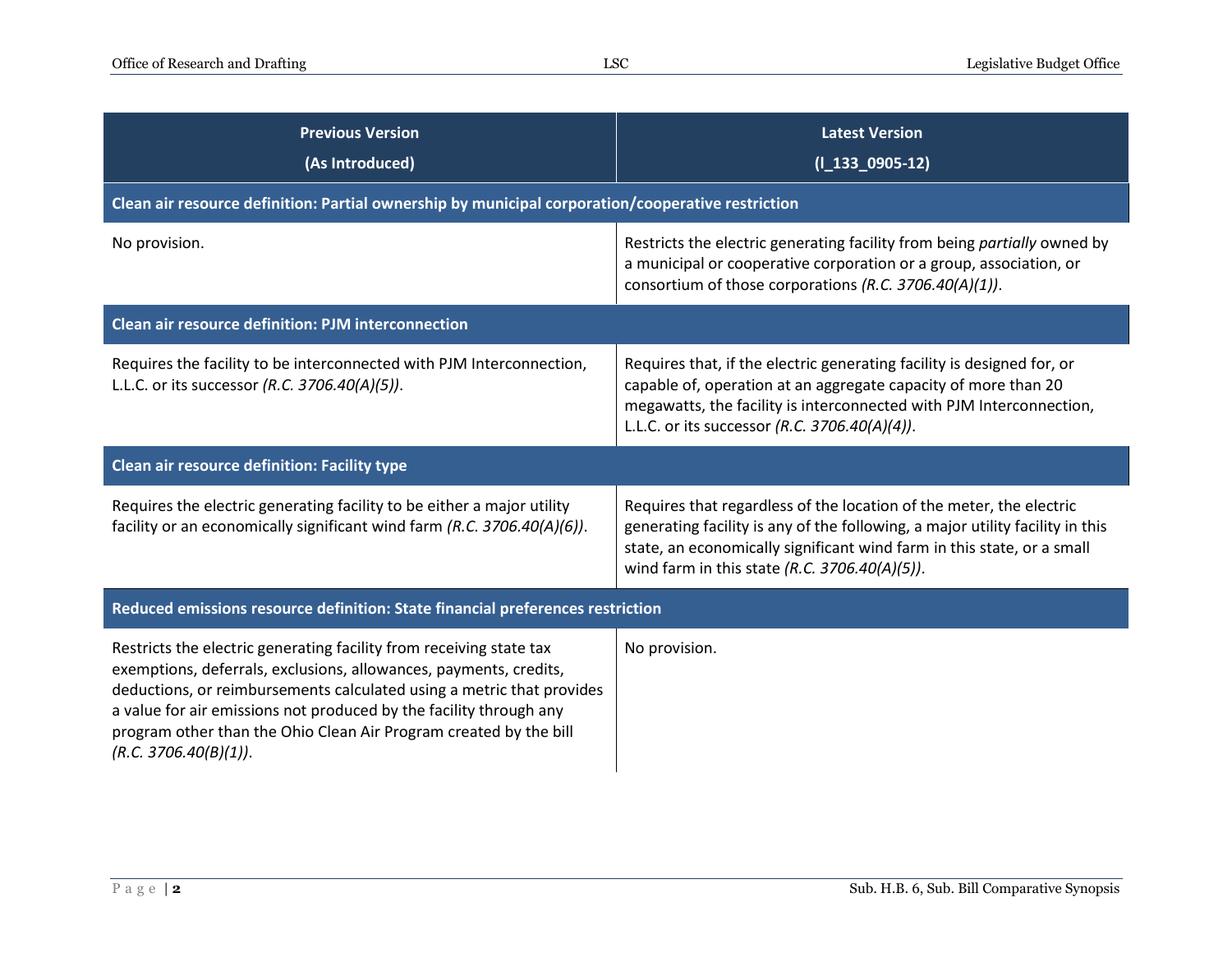| <b>Previous Version</b><br>(As Introduced)                                                                                                                                                                                                                                                                                                                                            | <b>Latest Version</b><br>$(I_133_0905-12)$                                                                                                                                                                                                                                      |  |
|---------------------------------------------------------------------------------------------------------------------------------------------------------------------------------------------------------------------------------------------------------------------------------------------------------------------------------------------------------------------------------------|---------------------------------------------------------------------------------------------------------------------------------------------------------------------------------------------------------------------------------------------------------------------------------|--|
| Clean air resource definition: Partial ownership by municipal corporation/cooperative restriction                                                                                                                                                                                                                                                                                     |                                                                                                                                                                                                                                                                                 |  |
| No provision.                                                                                                                                                                                                                                                                                                                                                                         | Restricts the electric generating facility from being partially owned by<br>a municipal or cooperative corporation or a group, association, or<br>consortium of those corporations (R.C. 3706.40(A)(1)).                                                                        |  |
| <b>Clean air resource definition: PJM interconnection</b>                                                                                                                                                                                                                                                                                                                             |                                                                                                                                                                                                                                                                                 |  |
| Requires the facility to be interconnected with PJM Interconnection,<br>L.L.C. or its successor (R.C. 3706.40(A)(5)).                                                                                                                                                                                                                                                                 | Requires that, if the electric generating facility is designed for, or<br>capable of, operation at an aggregate capacity of more than 20<br>megawatts, the facility is interconnected with PJM Interconnection,<br>L.L.C. or its successor (R.C. 3706.40(A)(4)).                |  |
| Clean air resource definition: Facility type                                                                                                                                                                                                                                                                                                                                          |                                                                                                                                                                                                                                                                                 |  |
| Requires the electric generating facility to be either a major utility<br>facility or an economically significant wind farm (R.C. 3706.40(A)(6)).                                                                                                                                                                                                                                     | Requires that regardless of the location of the meter, the electric<br>generating facility is any of the following, a major utility facility in this<br>state, an economically significant wind farm in this state, or a small<br>wind farm in this state (R.C. 3706.40(A)(5)). |  |
| Reduced emissions resource definition: State financial preferences restriction                                                                                                                                                                                                                                                                                                        |                                                                                                                                                                                                                                                                                 |  |
| Restricts the electric generating facility from receiving state tax<br>exemptions, deferrals, exclusions, allowances, payments, credits,<br>deductions, or reimbursements calculated using a metric that provides<br>a value for air emissions not produced by the facility through any<br>program other than the Ohio Clean Air Program created by the bill<br>(R.C. 3706.40(B)(1)). | No provision.                                                                                                                                                                                                                                                                   |  |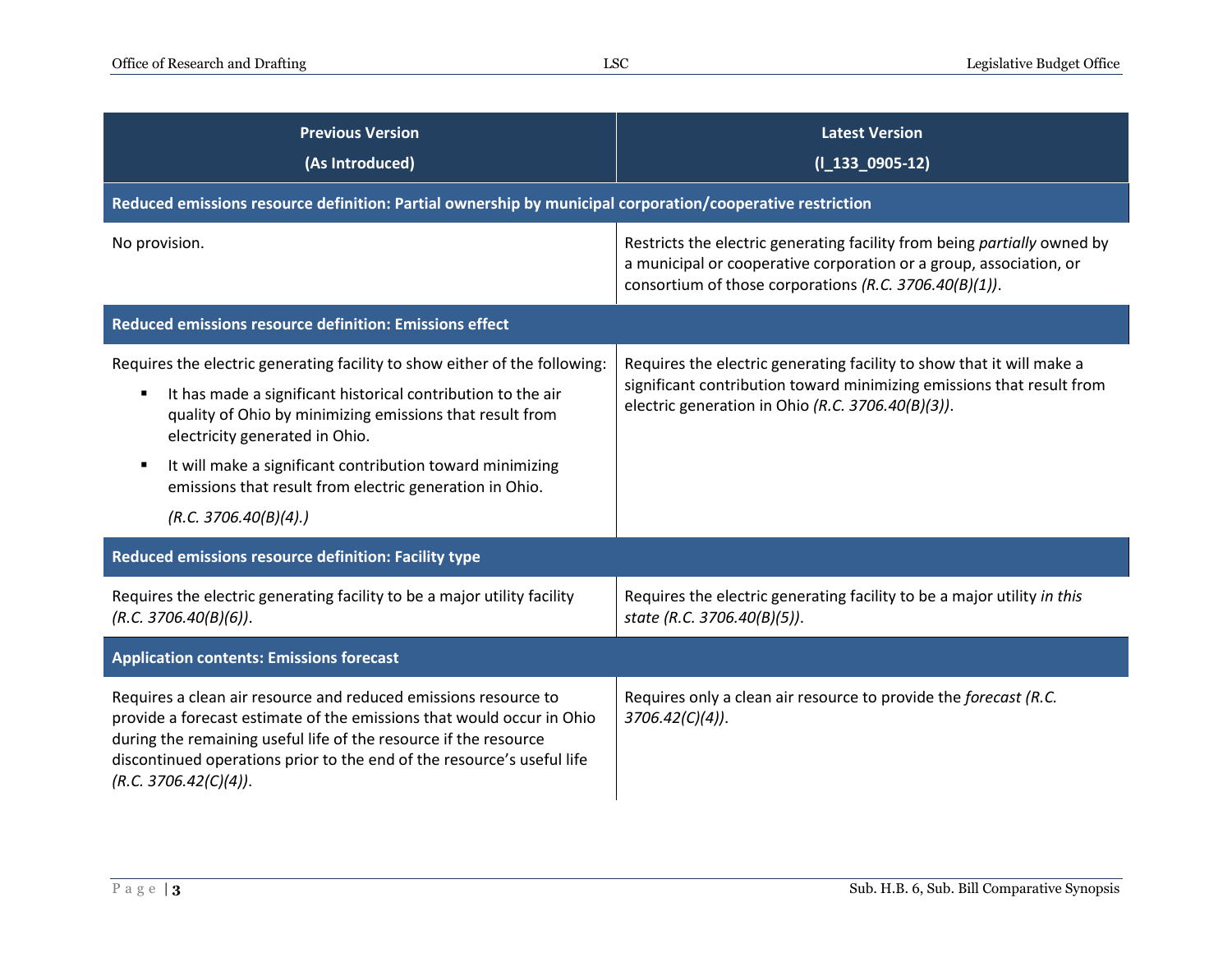| <b>Previous Version</b><br>(As Introduced)                                                                                                                                                                                                                                                                                                                                                         | <b>Latest Version</b><br>$(I_133_0905-12)$                                                                                                                                                               |
|----------------------------------------------------------------------------------------------------------------------------------------------------------------------------------------------------------------------------------------------------------------------------------------------------------------------------------------------------------------------------------------------------|----------------------------------------------------------------------------------------------------------------------------------------------------------------------------------------------------------|
| Reduced emissions resource definition: Partial ownership by municipal corporation/cooperative restriction                                                                                                                                                                                                                                                                                          |                                                                                                                                                                                                          |
| No provision.                                                                                                                                                                                                                                                                                                                                                                                      | Restricts the electric generating facility from being partially owned by<br>a municipal or cooperative corporation or a group, association, or<br>consortium of those corporations (R.C. 3706.40(B)(1)). |
| Reduced emissions resource definition: Emissions effect                                                                                                                                                                                                                                                                                                                                            |                                                                                                                                                                                                          |
| Requires the electric generating facility to show either of the following:<br>It has made a significant historical contribution to the air<br>п<br>quality of Ohio by minimizing emissions that result from<br>electricity generated in Ohio.<br>It will make a significant contribution toward minimizing<br>п<br>emissions that result from electric generation in Ohio.<br>(R.C. 3706.40(B)(4)) | Requires the electric generating facility to show that it will make a<br>significant contribution toward minimizing emissions that result from<br>electric generation in Ohio (R.C. 3706.40(B)(3)).      |
| Reduced emissions resource definition: Facility type                                                                                                                                                                                                                                                                                                                                               |                                                                                                                                                                                                          |
| Requires the electric generating facility to be a major utility facility<br>(R.C. 3706.40(B)(6)).                                                                                                                                                                                                                                                                                                  | Requires the electric generating facility to be a major utility in this<br>state (R.C. 3706.40(B)(5)).                                                                                                   |
| <b>Application contents: Emissions forecast</b>                                                                                                                                                                                                                                                                                                                                                    |                                                                                                                                                                                                          |
| Requires a clean air resource and reduced emissions resource to<br>provide a forecast estimate of the emissions that would occur in Ohio<br>during the remaining useful life of the resource if the resource<br>discontinued operations prior to the end of the resource's useful life<br>(R.C. 3706.42(C)(4)).                                                                                    | Requires only a clean air resource to provide the forecast (R.C.<br>$3706.42(C)(4)$ ).                                                                                                                   |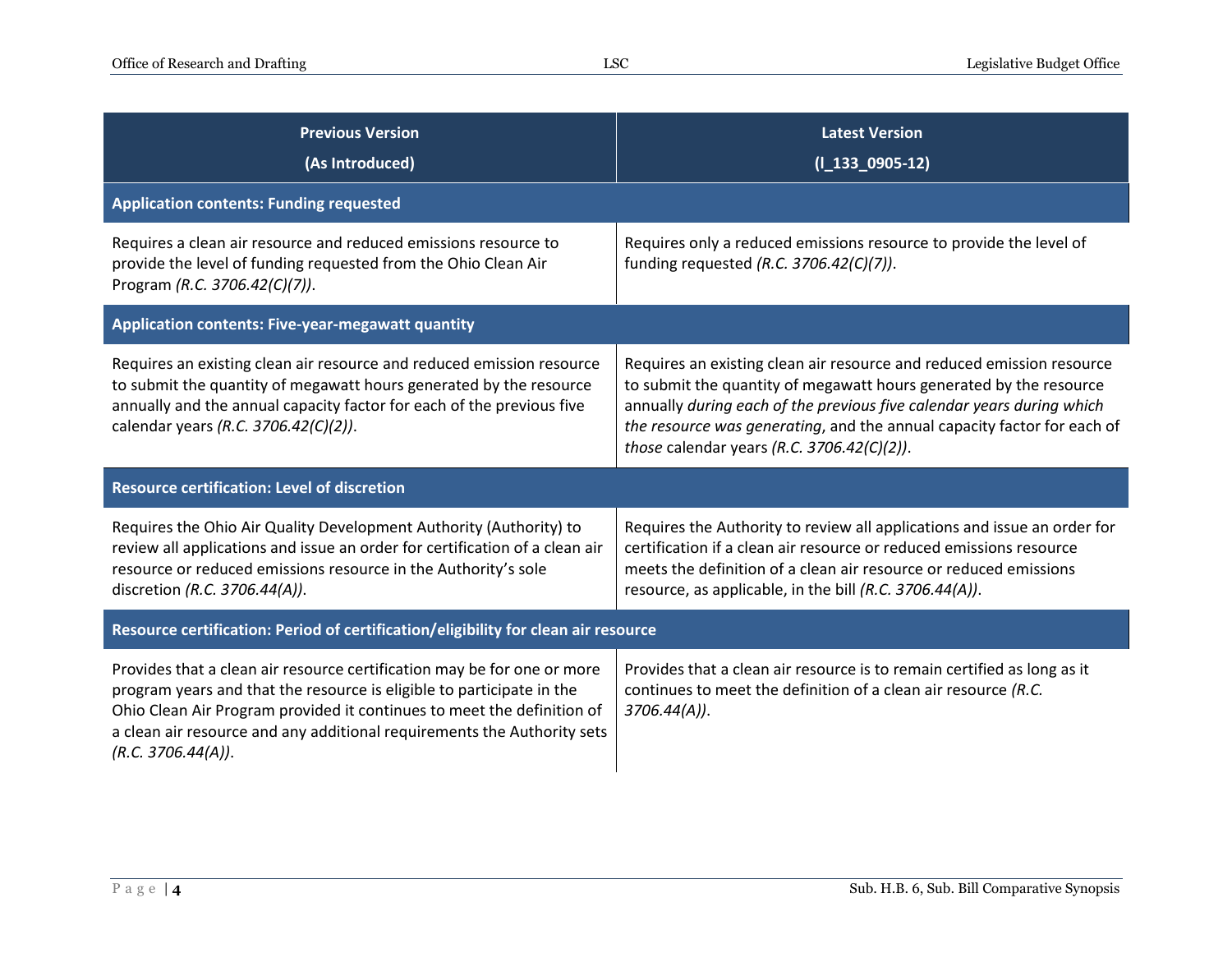| <b>Previous Version</b><br>(As Introduced)                                                                                                                                                                                                                                                                                  | <b>Latest Version</b><br>$(I_133_0905-12)$                                                                                                                                                                                                                                                                                                    |  |
|-----------------------------------------------------------------------------------------------------------------------------------------------------------------------------------------------------------------------------------------------------------------------------------------------------------------------------|-----------------------------------------------------------------------------------------------------------------------------------------------------------------------------------------------------------------------------------------------------------------------------------------------------------------------------------------------|--|
| <b>Application contents: Funding requested</b>                                                                                                                                                                                                                                                                              |                                                                                                                                                                                                                                                                                                                                               |  |
| Requires a clean air resource and reduced emissions resource to<br>provide the level of funding requested from the Ohio Clean Air<br>Program (R.C. 3706.42(C)(7)).                                                                                                                                                          | Requires only a reduced emissions resource to provide the level of<br>funding requested (R.C. 3706.42(C)(7)).                                                                                                                                                                                                                                 |  |
| Application contents: Five-year-megawatt quantity                                                                                                                                                                                                                                                                           |                                                                                                                                                                                                                                                                                                                                               |  |
| Requires an existing clean air resource and reduced emission resource<br>to submit the quantity of megawatt hours generated by the resource<br>annually and the annual capacity factor for each of the previous five<br>calendar years (R.C. 3706.42(C)(2)).                                                                | Requires an existing clean air resource and reduced emission resource<br>to submit the quantity of megawatt hours generated by the resource<br>annually during each of the previous five calendar years during which<br>the resource was generating, and the annual capacity factor for each of<br>those calendar years (R.C. 3706.42(C)(2)). |  |
| <b>Resource certification: Level of discretion</b>                                                                                                                                                                                                                                                                          |                                                                                                                                                                                                                                                                                                                                               |  |
| Requires the Ohio Air Quality Development Authority (Authority) to<br>review all applications and issue an order for certification of a clean air<br>resource or reduced emissions resource in the Authority's sole<br>discretion (R.C. 3706.44(A)).                                                                        | Requires the Authority to review all applications and issue an order for<br>certification if a clean air resource or reduced emissions resource<br>meets the definition of a clean air resource or reduced emissions<br>resource, as applicable, in the bill (R.C. 3706.44(A)).                                                               |  |
| Resource certification: Period of certification/eligibility for clean air resource                                                                                                                                                                                                                                          |                                                                                                                                                                                                                                                                                                                                               |  |
| Provides that a clean air resource certification may be for one or more<br>program years and that the resource is eligible to participate in the<br>Ohio Clean Air Program provided it continues to meet the definition of<br>a clean air resource and any additional requirements the Authority sets<br>(R.C. 3706.44(A)). | Provides that a clean air resource is to remain certified as long as it<br>continues to meet the definition of a clean air resource (R.C.<br>$3706.44(A)$ ).                                                                                                                                                                                  |  |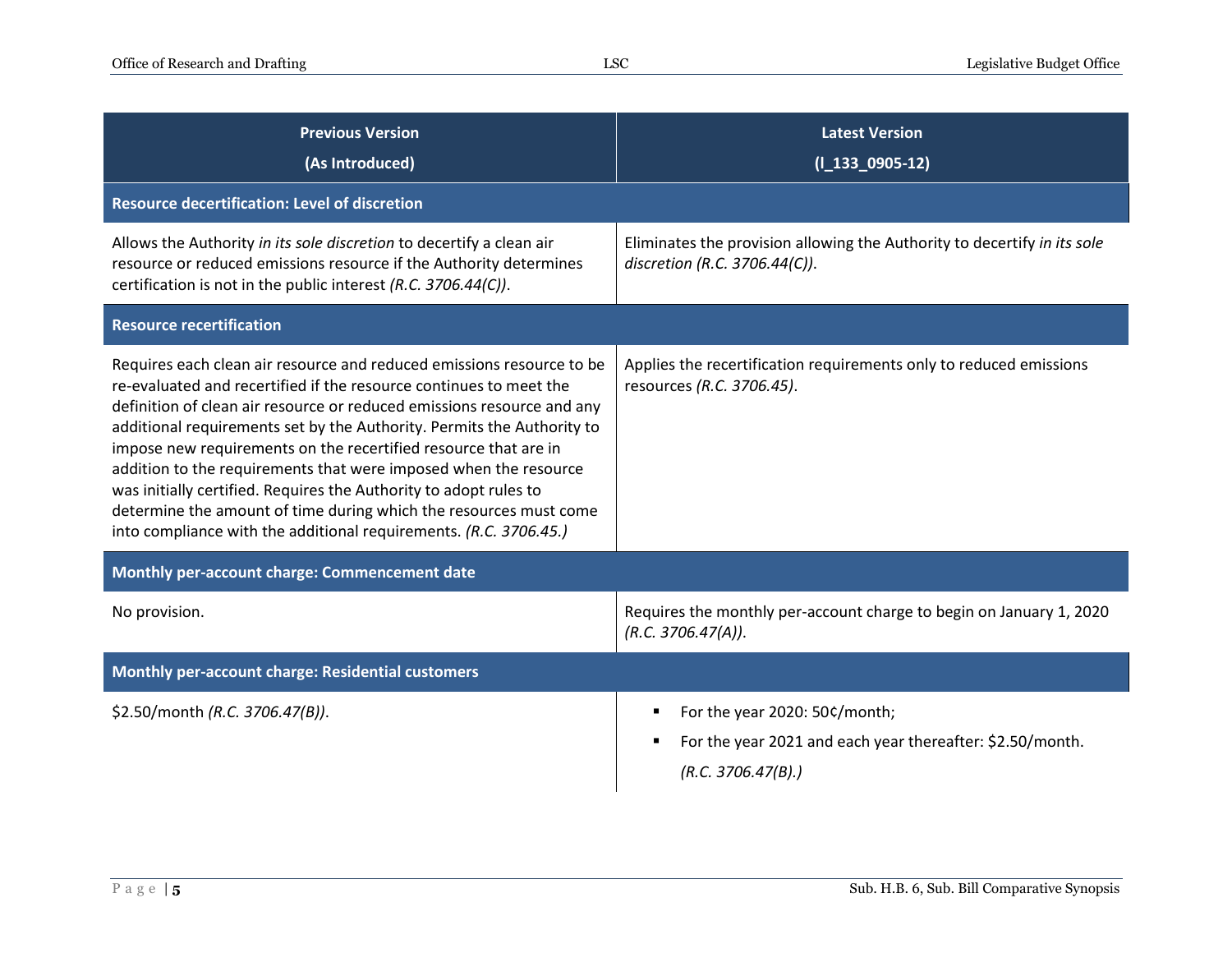| <b>Previous Version</b><br>(As Introduced)                                                                                                                                                                                                                                                                                                                                                                                                                                                                                                                                                                                                            | <b>Latest Version</b><br>$(I_133_0905-12)$                                                                       |
|-------------------------------------------------------------------------------------------------------------------------------------------------------------------------------------------------------------------------------------------------------------------------------------------------------------------------------------------------------------------------------------------------------------------------------------------------------------------------------------------------------------------------------------------------------------------------------------------------------------------------------------------------------|------------------------------------------------------------------------------------------------------------------|
| <b>Resource decertification: Level of discretion</b>                                                                                                                                                                                                                                                                                                                                                                                                                                                                                                                                                                                                  |                                                                                                                  |
| Allows the Authority in its sole discretion to decertify a clean air<br>resource or reduced emissions resource if the Authority determines<br>certification is not in the public interest (R.C. 3706.44(C)).                                                                                                                                                                                                                                                                                                                                                                                                                                          | Eliminates the provision allowing the Authority to decertify in its sole<br>discretion (R.C. 3706.44(C)).        |
| <b>Resource recertification</b>                                                                                                                                                                                                                                                                                                                                                                                                                                                                                                                                                                                                                       |                                                                                                                  |
| Requires each clean air resource and reduced emissions resource to be<br>re-evaluated and recertified if the resource continues to meet the<br>definition of clean air resource or reduced emissions resource and any<br>additional requirements set by the Authority. Permits the Authority to<br>impose new requirements on the recertified resource that are in<br>addition to the requirements that were imposed when the resource<br>was initially certified. Requires the Authority to adopt rules to<br>determine the amount of time during which the resources must come<br>into compliance with the additional requirements. (R.C. 3706.45.) | Applies the recertification requirements only to reduced emissions<br>resources (R.C. 3706.45).                  |
| Monthly per-account charge: Commencement date                                                                                                                                                                                                                                                                                                                                                                                                                                                                                                                                                                                                         |                                                                                                                  |
| No provision.                                                                                                                                                                                                                                                                                                                                                                                                                                                                                                                                                                                                                                         | Requires the monthly per-account charge to begin on January 1, 2020<br>(R.C. 3706.47(A)).                        |
| <b>Monthly per-account charge: Residential customers</b>                                                                                                                                                                                                                                                                                                                                                                                                                                                                                                                                                                                              |                                                                                                                  |
| \$2.50/month (R.C. 3706.47(B)).                                                                                                                                                                                                                                                                                                                                                                                                                                                                                                                                                                                                                       | For the year 2020: 50¢/month;<br>For the year 2021 and each year thereafter: \$2.50/month.<br>(R.C. 3706.47(B).) |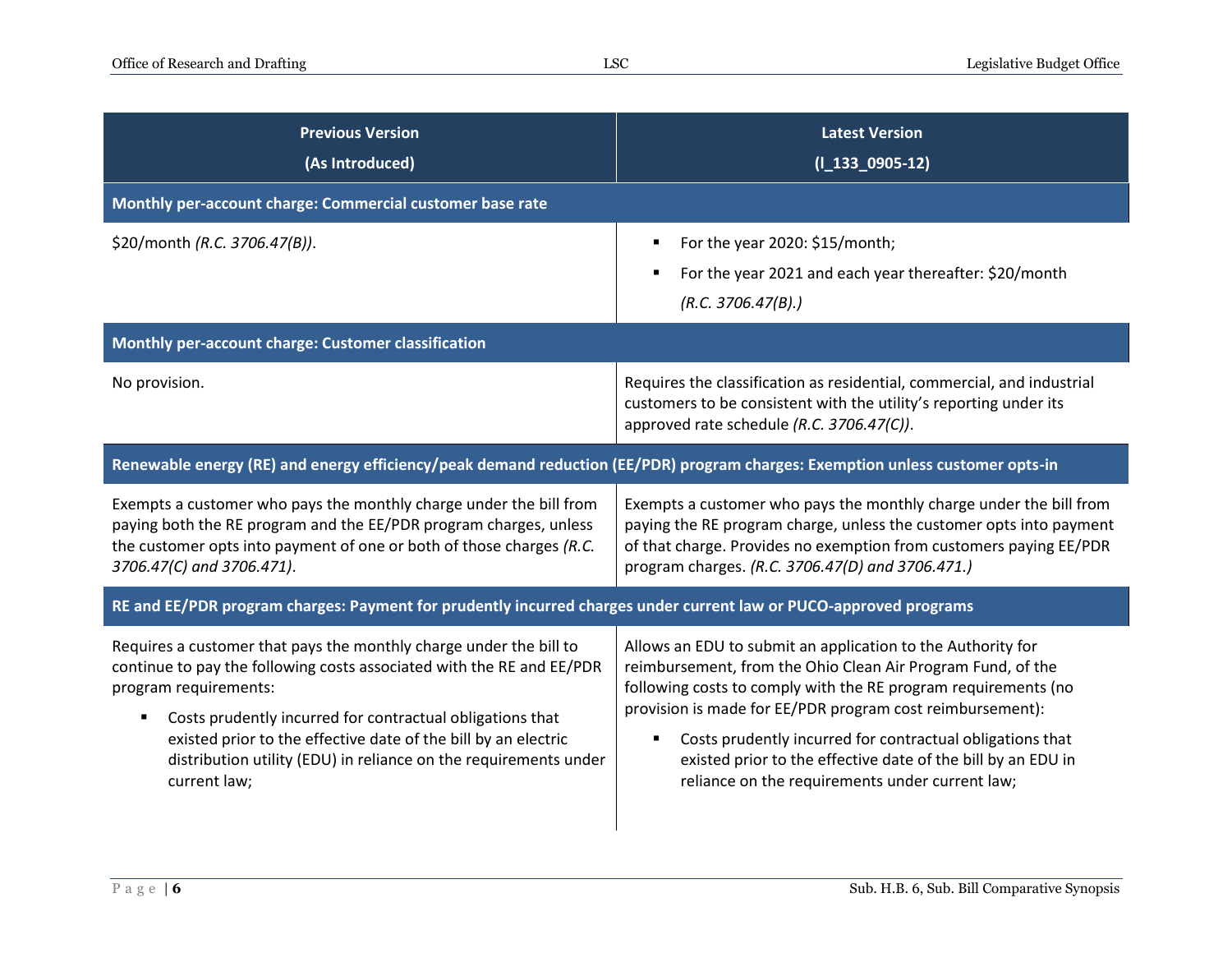| <b>Previous Version</b><br>(As Introduced)                                                                                                                                                                                                                                                                                                                                                   | <b>Latest Version</b><br>$(I_133_0905-12)$                                                                                                                                                                                                                                                                                                                                                                                                     |  |
|----------------------------------------------------------------------------------------------------------------------------------------------------------------------------------------------------------------------------------------------------------------------------------------------------------------------------------------------------------------------------------------------|------------------------------------------------------------------------------------------------------------------------------------------------------------------------------------------------------------------------------------------------------------------------------------------------------------------------------------------------------------------------------------------------------------------------------------------------|--|
| Monthly per-account charge: Commercial customer base rate                                                                                                                                                                                                                                                                                                                                    |                                                                                                                                                                                                                                                                                                                                                                                                                                                |  |
| \$20/month (R.C. 3706.47(B)).                                                                                                                                                                                                                                                                                                                                                                | For the year 2020: \$15/month;<br>For the year 2021 and each year thereafter: \$20/month<br>(R.C. 3706.47(B).)                                                                                                                                                                                                                                                                                                                                 |  |
| Monthly per-account charge: Customer classification                                                                                                                                                                                                                                                                                                                                          |                                                                                                                                                                                                                                                                                                                                                                                                                                                |  |
| No provision.                                                                                                                                                                                                                                                                                                                                                                                | Requires the classification as residential, commercial, and industrial<br>customers to be consistent with the utility's reporting under its<br>approved rate schedule (R.C. 3706.47(C)).                                                                                                                                                                                                                                                       |  |
| Renewable energy (RE) and energy efficiency/peak demand reduction (EE/PDR) program charges: Exemption unless customer opts-in                                                                                                                                                                                                                                                                |                                                                                                                                                                                                                                                                                                                                                                                                                                                |  |
| Exempts a customer who pays the monthly charge under the bill from<br>paying both the RE program and the EE/PDR program charges, unless<br>the customer opts into payment of one or both of those charges (R.C.<br>3706.47(C) and 3706.471).                                                                                                                                                 | Exempts a customer who pays the monthly charge under the bill from<br>paying the RE program charge, unless the customer opts into payment<br>of that charge. Provides no exemption from customers paying EE/PDR<br>program charges. (R.C. 3706.47(D) and 3706.471.)                                                                                                                                                                            |  |
| RE and EE/PDR program charges: Payment for prudently incurred charges under current law or PUCO-approved programs                                                                                                                                                                                                                                                                            |                                                                                                                                                                                                                                                                                                                                                                                                                                                |  |
| Requires a customer that pays the monthly charge under the bill to<br>continue to pay the following costs associated with the RE and EE/PDR<br>program requirements:<br>Costs prudently incurred for contractual obligations that<br>٠<br>existed prior to the effective date of the bill by an electric<br>distribution utility (EDU) in reliance on the requirements under<br>current law; | Allows an EDU to submit an application to the Authority for<br>reimbursement, from the Ohio Clean Air Program Fund, of the<br>following costs to comply with the RE program requirements (no<br>provision is made for EE/PDR program cost reimbursement):<br>Costs prudently incurred for contractual obligations that<br>٠<br>existed prior to the effective date of the bill by an EDU in<br>reliance on the requirements under current law; |  |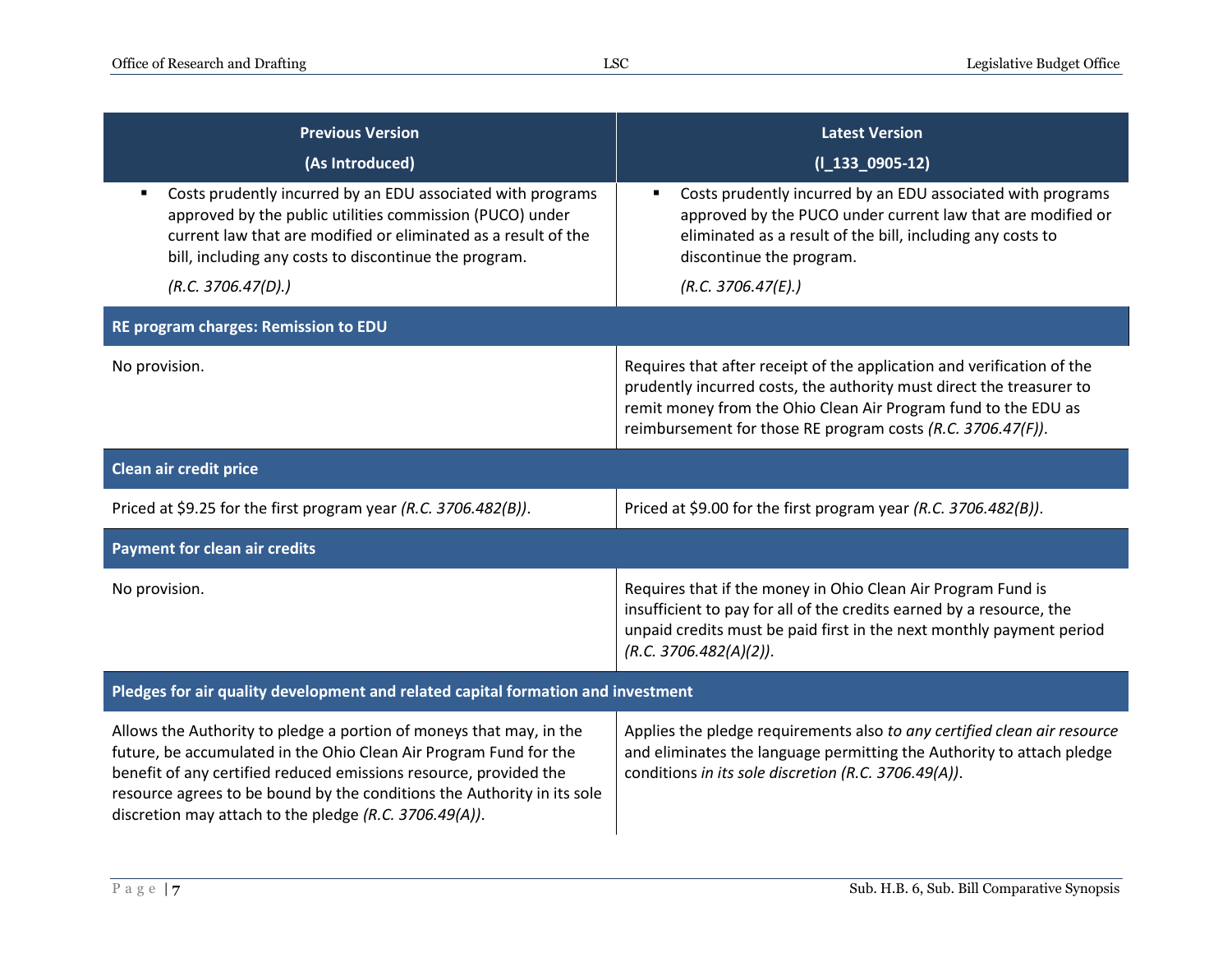| <b>Previous Version</b>                                                                                                                                                                                                                                                                                                                            | <b>Latest Version</b>                                                                                                                                                                                                                                                           |  |
|----------------------------------------------------------------------------------------------------------------------------------------------------------------------------------------------------------------------------------------------------------------------------------------------------------------------------------------------------|---------------------------------------------------------------------------------------------------------------------------------------------------------------------------------------------------------------------------------------------------------------------------------|--|
| (As Introduced)                                                                                                                                                                                                                                                                                                                                    | $(I_133_0905-12)$                                                                                                                                                                                                                                                               |  |
| Costs prudently incurred by an EDU associated with programs<br>approved by the public utilities commission (PUCO) under<br>current law that are modified or eliminated as a result of the<br>bill, including any costs to discontinue the program.                                                                                                 | Costs prudently incurred by an EDU associated with programs<br>approved by the PUCO under current law that are modified or<br>eliminated as a result of the bill, including any costs to<br>discontinue the program.                                                            |  |
| (R.C. 3706.47(D).)                                                                                                                                                                                                                                                                                                                                 | (R.C. 3706.47(E).)                                                                                                                                                                                                                                                              |  |
| RE program charges: Remission to EDU                                                                                                                                                                                                                                                                                                               |                                                                                                                                                                                                                                                                                 |  |
| No provision.                                                                                                                                                                                                                                                                                                                                      | Requires that after receipt of the application and verification of the<br>prudently incurred costs, the authority must direct the treasurer to<br>remit money from the Ohio Clean Air Program fund to the EDU as<br>reimbursement for those RE program costs (R.C. 3706.47(F)). |  |
| Clean air credit price                                                                                                                                                                                                                                                                                                                             |                                                                                                                                                                                                                                                                                 |  |
| Priced at \$9.25 for the first program year (R.C. 3706.482(B)).                                                                                                                                                                                                                                                                                    | Priced at \$9.00 for the first program year (R.C. 3706.482(B)).                                                                                                                                                                                                                 |  |
| <b>Payment for clean air credits</b>                                                                                                                                                                                                                                                                                                               |                                                                                                                                                                                                                                                                                 |  |
| No provision.                                                                                                                                                                                                                                                                                                                                      | Requires that if the money in Ohio Clean Air Program Fund is<br>insufficient to pay for all of the credits earned by a resource, the<br>unpaid credits must be paid first in the next monthly payment period<br>(R.C. 3706.482(A)(2)).                                          |  |
| Pledges for air quality development and related capital formation and investment                                                                                                                                                                                                                                                                   |                                                                                                                                                                                                                                                                                 |  |
| Allows the Authority to pledge a portion of moneys that may, in the<br>future, be accumulated in the Ohio Clean Air Program Fund for the<br>benefit of any certified reduced emissions resource, provided the<br>resource agrees to be bound by the conditions the Authority in its sole<br>discretion may attach to the pledge (R.C. 3706.49(A)). | Applies the pledge requirements also to any certified clean air resource<br>and eliminates the language permitting the Authority to attach pledge<br>conditions in its sole discretion (R.C. 3706.49(A)).                                                                       |  |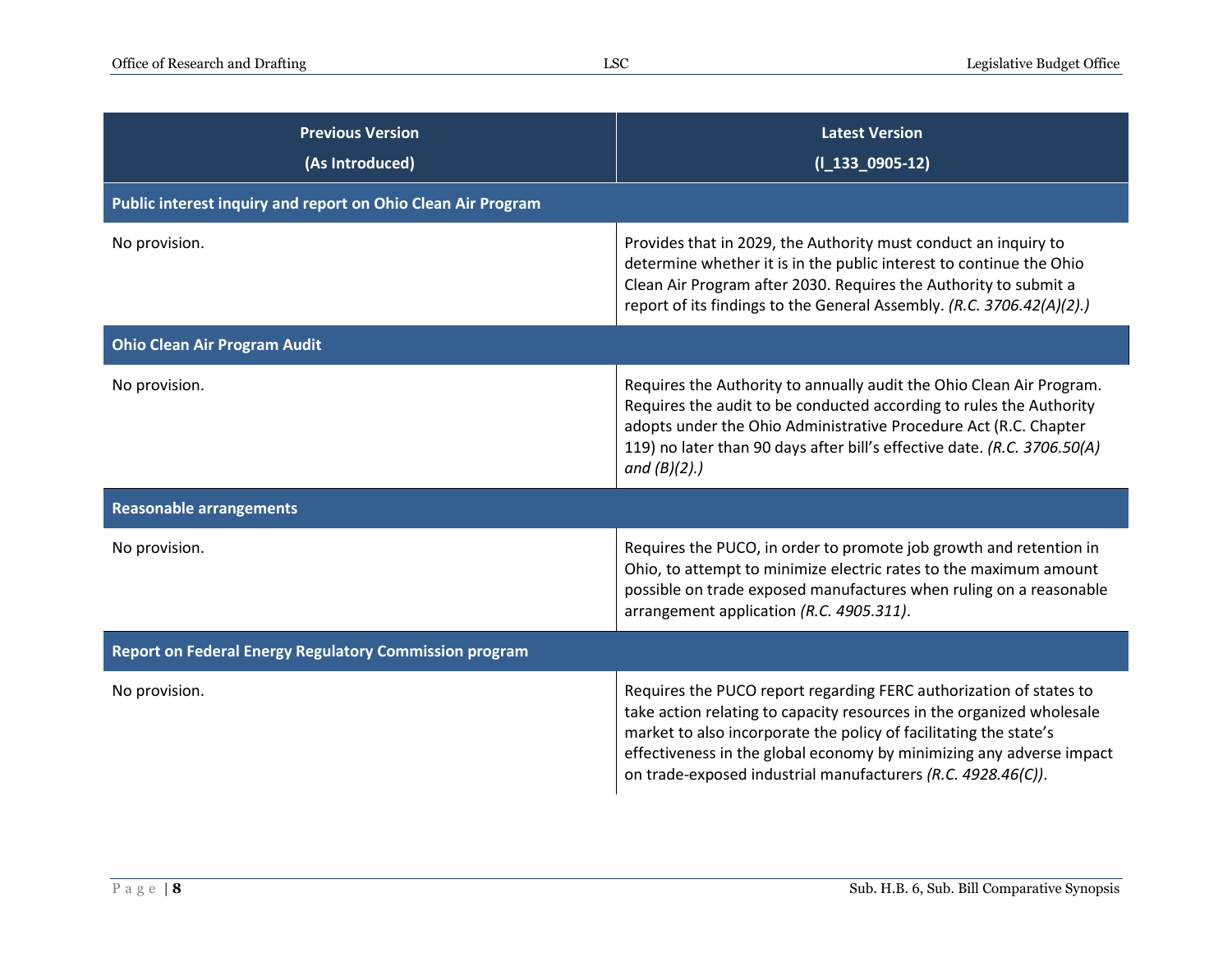| <b>Previous Version</b><br>(As Introduced)                    | <b>Latest Version</b><br>$(I_133_0905-12)$                                                                                                                                                                                                                                                                                                               |
|---------------------------------------------------------------|----------------------------------------------------------------------------------------------------------------------------------------------------------------------------------------------------------------------------------------------------------------------------------------------------------------------------------------------------------|
| Public interest inquiry and report on Ohio Clean Air Program  |                                                                                                                                                                                                                                                                                                                                                          |
| No provision.                                                 | Provides that in 2029, the Authority must conduct an inquiry to<br>determine whether it is in the public interest to continue the Ohio<br>Clean Air Program after 2030. Requires the Authority to submit a<br>report of its findings to the General Assembly. (R.C. 3706.42(A)(2).)                                                                      |
| <b>Ohio Clean Air Program Audit</b>                           |                                                                                                                                                                                                                                                                                                                                                          |
| No provision.                                                 | Requires the Authority to annually audit the Ohio Clean Air Program.<br>Requires the audit to be conducted according to rules the Authority<br>adopts under the Ohio Administrative Procedure Act (R.C. Chapter<br>119) no later than 90 days after bill's effective date. (R.C. 3706.50(A)<br>and $(B)(2)$ .)                                           |
| <b>Reasonable arrangements</b>                                |                                                                                                                                                                                                                                                                                                                                                          |
| No provision.                                                 | Requires the PUCO, in order to promote job growth and retention in<br>Ohio, to attempt to minimize electric rates to the maximum amount<br>possible on trade exposed manufactures when ruling on a reasonable<br>arrangement application (R.C. 4905.311).                                                                                                |
| <b>Report on Federal Energy Regulatory Commission program</b> |                                                                                                                                                                                                                                                                                                                                                          |
| No provision.                                                 | Requires the PUCO report regarding FERC authorization of states to<br>take action relating to capacity resources in the organized wholesale<br>market to also incorporate the policy of facilitating the state's<br>effectiveness in the global economy by minimizing any adverse impact<br>on trade-exposed industrial manufacturers (R.C. 4928.46(C)). |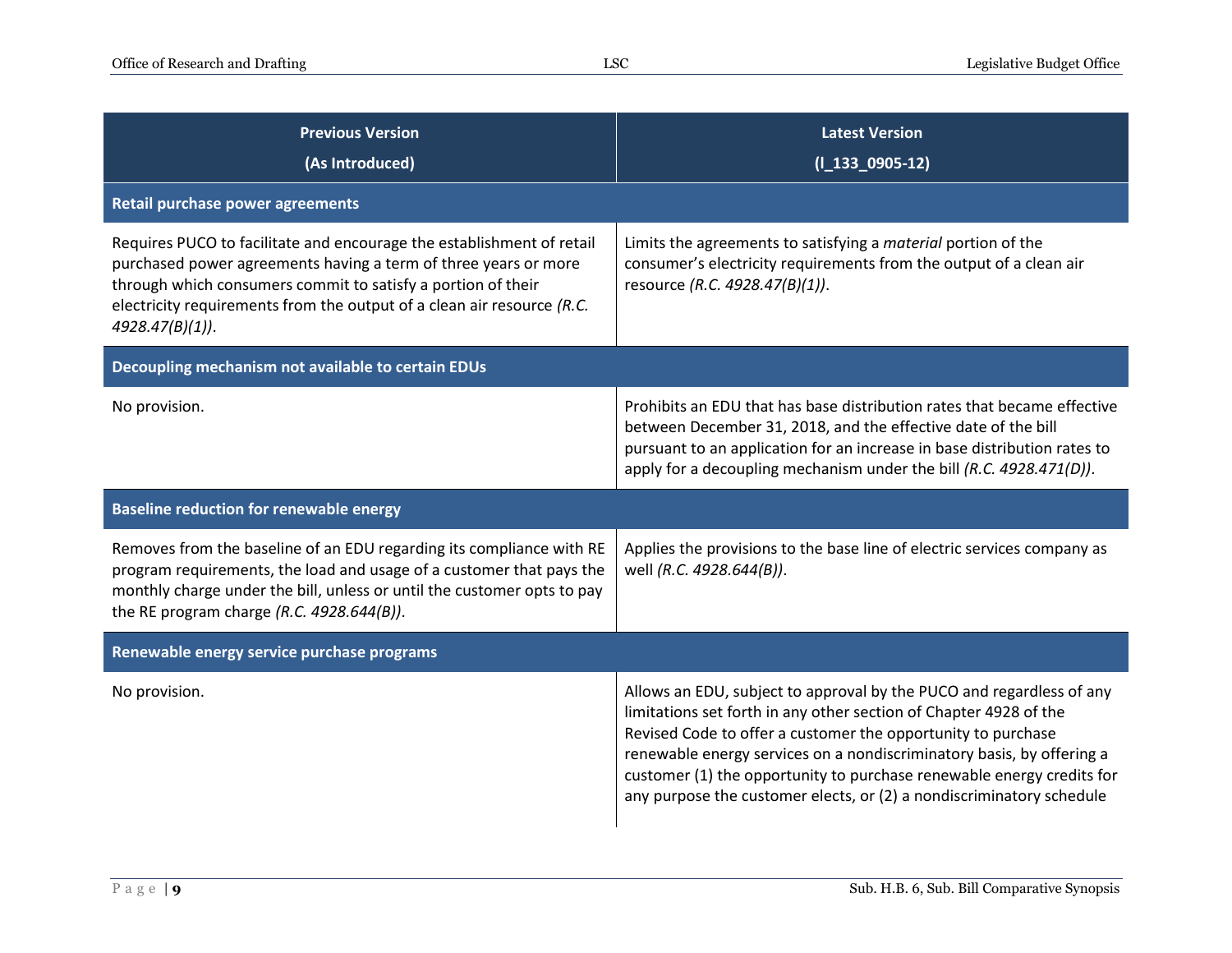| <b>Previous Version</b><br>(As Introduced)                                                                                                                                                                                                                                                                 | <b>Latest Version</b><br>$(I_133_0905-12)$                                                                                                                                                                                                                                                                                                                                                                                          |
|------------------------------------------------------------------------------------------------------------------------------------------------------------------------------------------------------------------------------------------------------------------------------------------------------------|-------------------------------------------------------------------------------------------------------------------------------------------------------------------------------------------------------------------------------------------------------------------------------------------------------------------------------------------------------------------------------------------------------------------------------------|
| <b>Retail purchase power agreements</b>                                                                                                                                                                                                                                                                    |                                                                                                                                                                                                                                                                                                                                                                                                                                     |
| Requires PUCO to facilitate and encourage the establishment of retail<br>purchased power agreements having a term of three years or more<br>through which consumers commit to satisfy a portion of their<br>electricity requirements from the output of a clean air resource $(R.C.$<br>$4928.47(B)(1)$ ). | Limits the agreements to satisfying a <i>material</i> portion of the<br>consumer's electricity requirements from the output of a clean air<br>resource (R.C. 4928.47(B)(1)).                                                                                                                                                                                                                                                        |
| Decoupling mechanism not available to certain EDUs                                                                                                                                                                                                                                                         |                                                                                                                                                                                                                                                                                                                                                                                                                                     |
| No provision.                                                                                                                                                                                                                                                                                              | Prohibits an EDU that has base distribution rates that became effective<br>between December 31, 2018, and the effective date of the bill<br>pursuant to an application for an increase in base distribution rates to<br>apply for a decoupling mechanism under the bill (R.C. 4928.471(D)).                                                                                                                                         |
| <b>Baseline reduction for renewable energy</b>                                                                                                                                                                                                                                                             |                                                                                                                                                                                                                                                                                                                                                                                                                                     |
| Removes from the baseline of an EDU regarding its compliance with RE<br>program requirements, the load and usage of a customer that pays the<br>monthly charge under the bill, unless or until the customer opts to pay<br>the RE program charge $(R.C. 4928.644(B))$ .                                    | Applies the provisions to the base line of electric services company as<br>well (R.C. 4928.644(B)).                                                                                                                                                                                                                                                                                                                                 |
| Renewable energy service purchase programs                                                                                                                                                                                                                                                                 |                                                                                                                                                                                                                                                                                                                                                                                                                                     |
| No provision.                                                                                                                                                                                                                                                                                              | Allows an EDU, subject to approval by the PUCO and regardless of any<br>limitations set forth in any other section of Chapter 4928 of the<br>Revised Code to offer a customer the opportunity to purchase<br>renewable energy services on a nondiscriminatory basis, by offering a<br>customer (1) the opportunity to purchase renewable energy credits for<br>any purpose the customer elects, or (2) a nondiscriminatory schedule |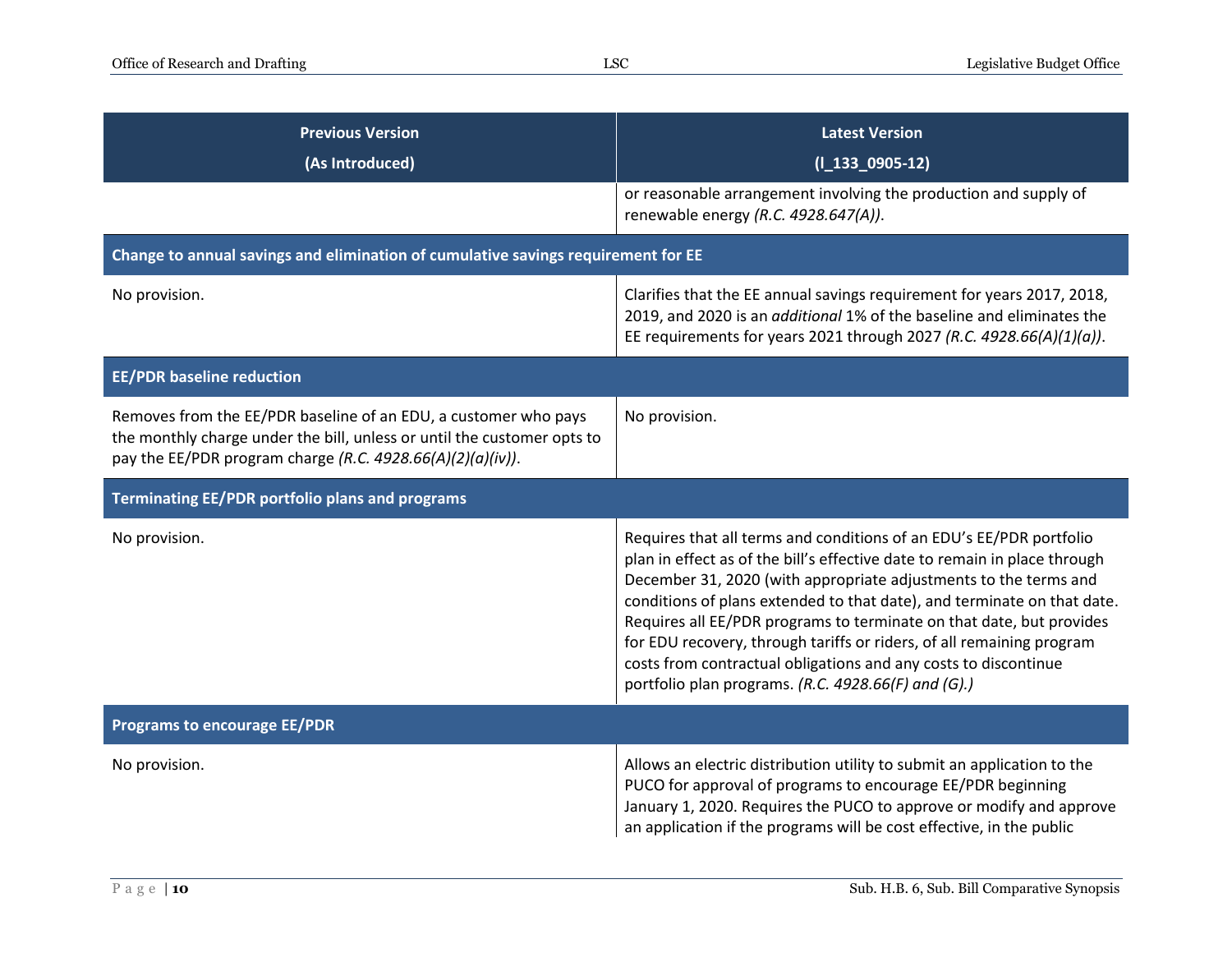| <b>Previous Version</b><br>(As Introduced)                                                                                                                                                               | <b>Latest Version</b><br>$(I_133_0905-12)$                                                                                                                                                                                                                                                                                                                                                                                                                                                                                                                                 |
|----------------------------------------------------------------------------------------------------------------------------------------------------------------------------------------------------------|----------------------------------------------------------------------------------------------------------------------------------------------------------------------------------------------------------------------------------------------------------------------------------------------------------------------------------------------------------------------------------------------------------------------------------------------------------------------------------------------------------------------------------------------------------------------------|
|                                                                                                                                                                                                          | or reasonable arrangement involving the production and supply of<br>renewable energy (R.C. 4928.647(A)).                                                                                                                                                                                                                                                                                                                                                                                                                                                                   |
| Change to annual savings and elimination of cumulative savings requirement for EE                                                                                                                        |                                                                                                                                                                                                                                                                                                                                                                                                                                                                                                                                                                            |
| No provision.                                                                                                                                                                                            | Clarifies that the EE annual savings requirement for years 2017, 2018,<br>2019, and 2020 is an additional 1% of the baseline and eliminates the<br>EE requirements for years 2021 through 2027 (R.C. 4928.66(A)(1)(a)).                                                                                                                                                                                                                                                                                                                                                    |
| <b>EE/PDR baseline reduction</b>                                                                                                                                                                         |                                                                                                                                                                                                                                                                                                                                                                                                                                                                                                                                                                            |
| Removes from the EE/PDR baseline of an EDU, a customer who pays<br>the monthly charge under the bill, unless or until the customer opts to<br>pay the EE/PDR program charge (R.C. 4928.66(A)(2)(a)(iv)). | No provision.                                                                                                                                                                                                                                                                                                                                                                                                                                                                                                                                                              |
| <b>Terminating EE/PDR portfolio plans and programs</b>                                                                                                                                                   |                                                                                                                                                                                                                                                                                                                                                                                                                                                                                                                                                                            |
| No provision.                                                                                                                                                                                            | Requires that all terms and conditions of an EDU's EE/PDR portfolio<br>plan in effect as of the bill's effective date to remain in place through<br>December 31, 2020 (with appropriate adjustments to the terms and<br>conditions of plans extended to that date), and terminate on that date.<br>Requires all EE/PDR programs to terminate on that date, but provides<br>for EDU recovery, through tariffs or riders, of all remaining program<br>costs from contractual obligations and any costs to discontinue<br>portfolio plan programs. (R.C. 4928.66(F) and (G).) |
| <b>Programs to encourage EE/PDR</b>                                                                                                                                                                      |                                                                                                                                                                                                                                                                                                                                                                                                                                                                                                                                                                            |
| No provision.                                                                                                                                                                                            | Allows an electric distribution utility to submit an application to the<br>PUCO for approval of programs to encourage EE/PDR beginning<br>January 1, 2020. Requires the PUCO to approve or modify and approve<br>an application if the programs will be cost effective, in the public                                                                                                                                                                                                                                                                                      |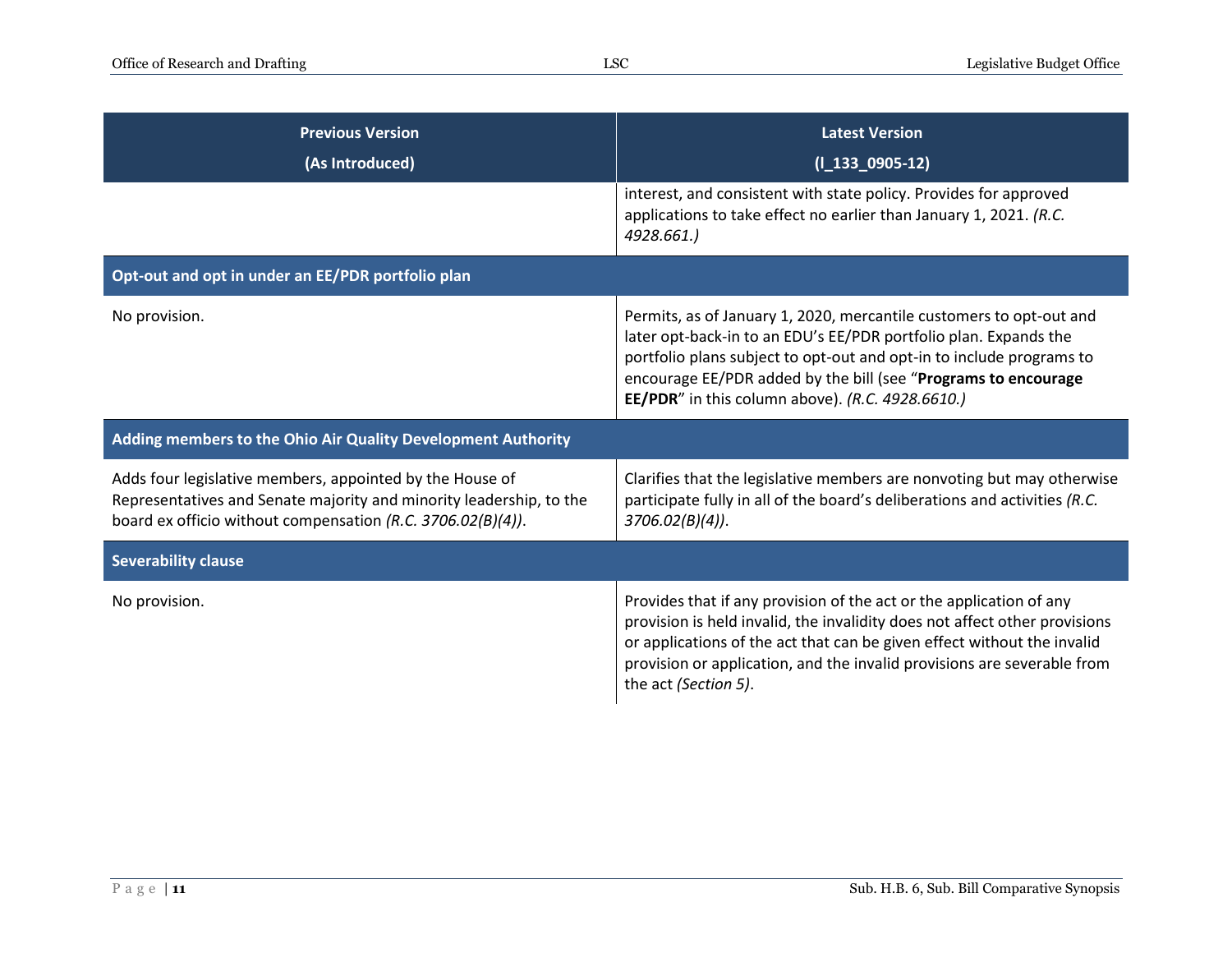| <b>Previous Version</b><br>(As Introduced)                                                                                                                                                     | <b>Latest Version</b><br>$(I_133_0905-12)$                                                                                                                                                                                                                                                                                            |
|------------------------------------------------------------------------------------------------------------------------------------------------------------------------------------------------|---------------------------------------------------------------------------------------------------------------------------------------------------------------------------------------------------------------------------------------------------------------------------------------------------------------------------------------|
|                                                                                                                                                                                                | interest, and consistent with state policy. Provides for approved<br>applications to take effect no earlier than January 1, 2021. (R.C.<br>4928.661.)                                                                                                                                                                                 |
| Opt-out and opt in under an EE/PDR portfolio plan                                                                                                                                              |                                                                                                                                                                                                                                                                                                                                       |
| No provision.                                                                                                                                                                                  | Permits, as of January 1, 2020, mercantile customers to opt-out and<br>later opt-back-in to an EDU's EE/PDR portfolio plan. Expands the<br>portfolio plans subject to opt-out and opt-in to include programs to<br>encourage EE/PDR added by the bill (see "Programs to encourage<br>EE/PDR" in this column above). (R.C. 4928.6610.) |
| Adding members to the Ohio Air Quality Development Authority                                                                                                                                   |                                                                                                                                                                                                                                                                                                                                       |
| Adds four legislative members, appointed by the House of<br>Representatives and Senate majority and minority leadership, to the<br>board ex officio without compensation (R.C. 3706.02(B)(4)). | Clarifies that the legislative members are nonvoting but may otherwise<br>participate fully in all of the board's deliberations and activities (R.C.<br>$3706.02(B)(4)$ .                                                                                                                                                             |
| <b>Severability clause</b>                                                                                                                                                                     |                                                                                                                                                                                                                                                                                                                                       |
| No provision.                                                                                                                                                                                  | Provides that if any provision of the act or the application of any<br>provision is held invalid, the invalidity does not affect other provisions<br>or applications of the act that can be given effect without the invalid<br>provision or application, and the invalid provisions are severable from<br>the act (Section 5).       |